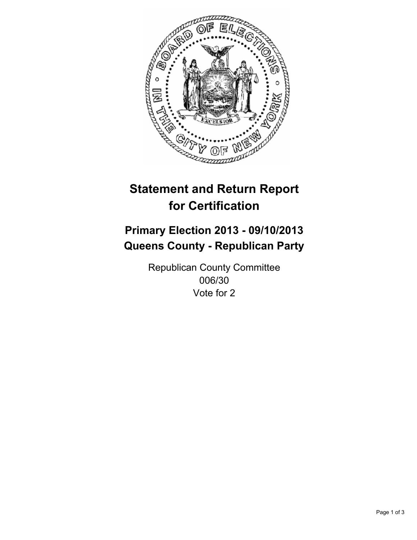

# **Statement and Return Report for Certification**

## **Primary Election 2013 - 09/10/2013 Queens County - Republican Party**

Republican County Committee 006/30 Vote for 2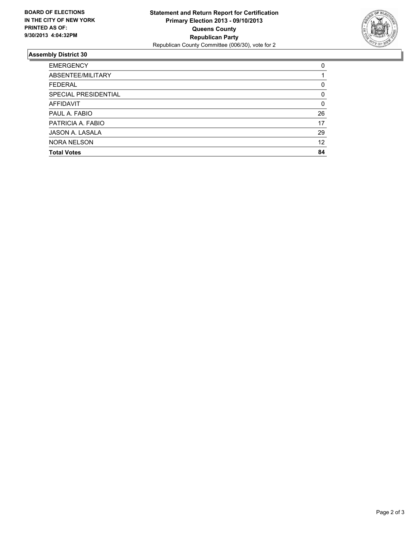

### **Assembly District 30**

| <b>EMERGENCY</b>     | 0        |
|----------------------|----------|
| ABSENTEE/MILITARY    |          |
| <b>FEDERAL</b>       | 0        |
| SPECIAL PRESIDENTIAL | $\Omega$ |
| AFFIDAVIT            | $\Omega$ |
| PAUL A. FABIO        | 26       |
| PATRICIA A. FABIO    | 17       |
| JASON A. LASALA      | 29       |
| <b>NORA NELSON</b>   | 12       |
| <b>Total Votes</b>   | 84       |